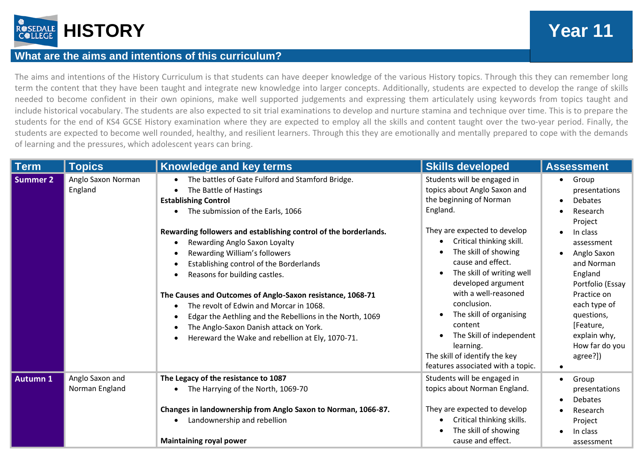

## **What are the aims and intentions of this curriculum?**

The aims and intentions of the History Curriculum is that students can have deeper knowledge of the various History topics. Through this they can remember long term the content that they have been taught and integrate new knowledge into larger concepts. Additionally, students are expected to develop the range of skills needed to become confident in their own opinions, make well supported judgements and expressing them articulately using keywords from topics taught and include historical vocabulary. The students are also expected to sit trial examinations to develop and nurture stamina and technique over time. This is to prepare the students for the end of KS4 GCSE History examination where they are expected to employ all the skills and content taught over the two-year period. Finally, the students are expected to become well rounded, healthy, and resilient learners. Through this they are emotionally and mentally prepared to cope with the demands of learning and the pressures, which adolescent years can bring.

| <b>Term</b>     | <b>Topics</b>                     | Knowledge and key terms                                                                                                                                                                                                                                                                                                                                                                                                                                                                                                                                                                                                               | <b>Skills developed</b>                                                                                                                                                                                                                                                                                                                                                                                                                                    | <b>Assessment</b>                                                                                                                                                                                                                                                          |
|-----------------|-----------------------------------|---------------------------------------------------------------------------------------------------------------------------------------------------------------------------------------------------------------------------------------------------------------------------------------------------------------------------------------------------------------------------------------------------------------------------------------------------------------------------------------------------------------------------------------------------------------------------------------------------------------------------------------|------------------------------------------------------------------------------------------------------------------------------------------------------------------------------------------------------------------------------------------------------------------------------------------------------------------------------------------------------------------------------------------------------------------------------------------------------------|----------------------------------------------------------------------------------------------------------------------------------------------------------------------------------------------------------------------------------------------------------------------------|
| Summer 2        | Anglo Saxon Norman<br>England     | The battles of Gate Fulford and Stamford Bridge.<br>The Battle of Hastings<br><b>Establishing Control</b><br>• The submission of the Earls, 1066<br>Rewarding followers and establishing control of the borderlands.<br>Rewarding Anglo Saxon Loyalty<br>Rewarding William's followers<br>Establishing control of the Borderlands<br>Reasons for building castles.<br>The Causes and Outcomes of Anglo-Saxon resistance, 1068-71<br>The revolt of Edwin and Morcar in 1068.<br>Edgar the Aethling and the Rebellions in the North, 1069<br>The Anglo-Saxon Danish attack on York.<br>Hereward the Wake and rebellion at Ely, 1070-71. | Students will be engaged in<br>topics about Anglo Saxon and<br>the beginning of Norman<br>England.<br>They are expected to develop<br>Critical thinking skill.<br>The skill of showing<br>cause and effect.<br>The skill of writing well<br>developed argument<br>with a well-reasoned<br>conclusion.<br>The skill of organising<br>content<br>The Skill of independent<br>learning.<br>The skill of identify the key<br>features associated with a topic. | Group<br>$\bullet$<br>presentations<br><b>Debates</b><br>Research<br>Project<br>In class<br>assessment<br>Anglo Saxon<br>and Norman<br>England<br>Portfolio (Essay<br>Practice on<br>each type of<br>questions,<br>[Feature,<br>explain why,<br>How far do you<br>agree?]) |
| <b>Autumn 1</b> | Anglo Saxon and<br>Norman England | The Legacy of the resistance to 1087<br>• The Harrying of the North, 1069-70<br>Changes in landownership from Anglo Saxon to Norman, 1066-87.<br>Landownership and rebellion<br><b>Maintaining royal power</b>                                                                                                                                                                                                                                                                                                                                                                                                                        | Students will be engaged in<br>topics about Norman England.<br>They are expected to develop<br>Critical thinking skills.<br>The skill of showing<br>cause and effect.                                                                                                                                                                                                                                                                                      | Group<br>$\bullet$<br>presentations<br>Debates<br>Research<br>Project<br>In class<br>assessment                                                                                                                                                                            |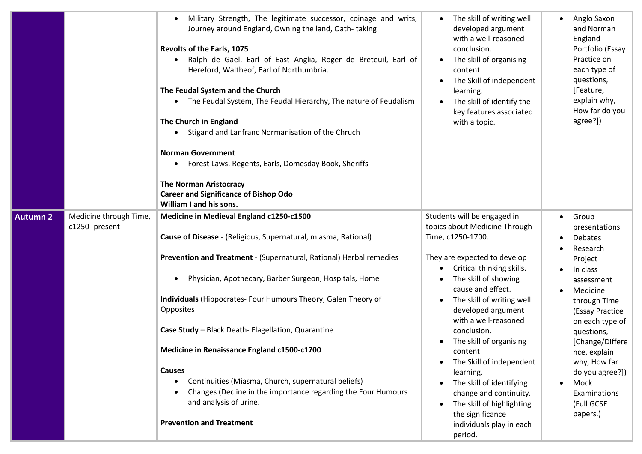|                 |                                          | Military Strength, The legitimate successor, coinage and writs,<br>Journey around England, Owning the land, Oath-taking<br>Revolts of the Earls, 1075<br>Ralph de Gael, Earl of East Anglia, Roger de Breteuil, Earl of<br>Hereford, Waltheof, Earl of Northumbria.<br>The Feudal System and the Church<br>• The Feudal System, The Feudal Hierarchy, The nature of Feudalism<br>The Church in England<br>Stigand and Lanfranc Normanisation of the Chruch<br><b>Norman Government</b><br>Forest Laws, Regents, Earls, Domesday Book, Sheriffs<br><b>The Norman Aristocracy</b><br><b>Career and Significance of Bishop Odo</b><br>William I and his sons. | The skill of writing well<br>developed argument<br>with a well-reasoned<br>conclusion.<br>The skill of organising<br>content<br>The Skill of independent<br>learning.<br>The skill of identify the<br>key features associated<br>with a topic.                                                                                                                                                                                                                                                                     | Anglo Saxon<br>and Norman<br>England<br>Portfolio (Essay<br>Practice on<br>each type of<br>questions,<br>[Feature,<br>explain why,<br>How far do you<br>agree?])                                                                                                                                               |
|-----------------|------------------------------------------|------------------------------------------------------------------------------------------------------------------------------------------------------------------------------------------------------------------------------------------------------------------------------------------------------------------------------------------------------------------------------------------------------------------------------------------------------------------------------------------------------------------------------------------------------------------------------------------------------------------------------------------------------------|--------------------------------------------------------------------------------------------------------------------------------------------------------------------------------------------------------------------------------------------------------------------------------------------------------------------------------------------------------------------------------------------------------------------------------------------------------------------------------------------------------------------|----------------------------------------------------------------------------------------------------------------------------------------------------------------------------------------------------------------------------------------------------------------------------------------------------------------|
| <b>Autumn 2</b> | Medicine through Time,<br>c1250- present | Medicine in Medieval England c1250-c1500<br>Cause of Disease - (Religious, Supernatural, miasma, Rational)<br>Prevention and Treatment - (Supernatural, Rational) Herbal remedies<br>Physician, Apothecary, Barber Surgeon, Hospitals, Home<br>Individuals (Hippocrates- Four Humours Theory, Galen Theory of<br>Opposites<br>Case Study - Black Death- Flagellation, Quarantine<br>Medicine in Renaissance England c1500-c1700<br><b>Causes</b><br>Continuities (Miasma, Church, supernatural beliefs)<br>Changes (Decline in the importance regarding the Four Humours<br>and analysis of urine.<br><b>Prevention and Treatment</b>                      | Students will be engaged in<br>topics about Medicine Through<br>Time, c1250-1700.<br>They are expected to develop<br>Critical thinking skills.<br>The skill of showing<br>cause and effect.<br>The skill of writing well<br>developed argument<br>with a well-reasoned<br>conclusion.<br>The skill of organising<br>content<br>The Skill of independent<br>learning.<br>The skill of identifying<br>change and continuity.<br>The skill of highlighting<br>the significance<br>individuals play in each<br>period. | Group<br>presentations<br><b>Debates</b><br>Research<br>Project<br>In class<br>assessment<br>Medicine<br>through Time<br>(Essay Practice<br>on each type of<br>questions,<br>[Change/Differe<br>nce, explain<br>why, How far<br>do you agree?])<br>Mock<br>$\bullet$<br>Examinations<br>(Full GCSE<br>papers.) |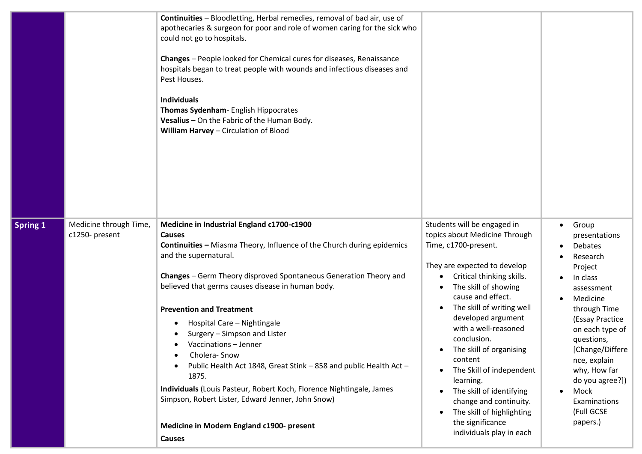|                 |                                          | Continuities - Bloodletting, Herbal remedies, removal of bad air, use of<br>apothecaries & surgeon for poor and role of women caring for the sick who<br>could not go to hospitals.<br>Changes - People looked for Chemical cures for diseases, Renaissance<br>hospitals began to treat people with wounds and infectious diseases and<br>Pest Houses.<br><b>Individuals</b><br>Thomas Sydenham- English Hippocrates<br>Vesalius - On the Fabric of the Human Body.<br>William Harvey - Circulation of Blood                                                                                                                                                                                                                     |                                                                                                                                                                                                                                                                                                                                                                                                                                                                                                              |                                                                                                                                                                                                                                                                                                                                          |
|-----------------|------------------------------------------|----------------------------------------------------------------------------------------------------------------------------------------------------------------------------------------------------------------------------------------------------------------------------------------------------------------------------------------------------------------------------------------------------------------------------------------------------------------------------------------------------------------------------------------------------------------------------------------------------------------------------------------------------------------------------------------------------------------------------------|--------------------------------------------------------------------------------------------------------------------------------------------------------------------------------------------------------------------------------------------------------------------------------------------------------------------------------------------------------------------------------------------------------------------------------------------------------------------------------------------------------------|------------------------------------------------------------------------------------------------------------------------------------------------------------------------------------------------------------------------------------------------------------------------------------------------------------------------------------------|
| <b>Spring 1</b> | Medicine through Time,<br>c1250- present | Medicine in Industrial England c1700-c1900<br><b>Causes</b><br><b>Continuities - Miasma Theory, Influence of the Church during epidemics</b><br>and the supernatural.<br>Changes - Germ Theory disproved Spontaneous Generation Theory and<br>believed that germs causes disease in human body.<br><b>Prevention and Treatment</b><br>Hospital Care - Nightingale<br>Surgery - Simpson and Lister<br>Vaccinations - Jenner<br>Cholera-Snow<br>$\bullet$<br>Public Health Act 1848, Great Stink - 858 and public Health Act -<br>1875.<br>Individuals (Louis Pasteur, Robert Koch, Florence Nightingale, James<br>Simpson, Robert Lister, Edward Jenner, John Snow)<br>Medicine in Modern England c1900- present<br><b>Causes</b> | Students will be engaged in<br>topics about Medicine Through<br>Time, c1700-present.<br>They are expected to develop<br>Critical thinking skills.<br>The skill of showing<br>cause and effect.<br>The skill of writing well<br>developed argument<br>with a well-reasoned<br>conclusion.<br>• The skill of organising<br>content<br>The Skill of independent<br>learning.<br>The skill of identifying<br>change and continuity.<br>The skill of highlighting<br>the significance<br>individuals play in each | Group<br>$\bullet$<br>presentations<br><b>Debates</b><br>Research<br>Project<br>In class<br>$\bullet$<br>assessment<br>Medicine<br>through Time<br>(Essay Practice<br>on each type of<br>questions,<br>[Change/Differe<br>nce, explain<br>why, How far<br>do you agree?])<br>Mock<br>$\bullet$<br>Examinations<br>(Full GCSE<br>papers.) |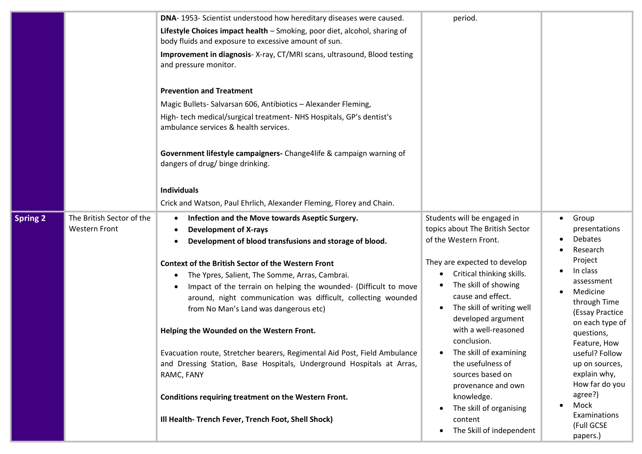|                 |                                                   | DNA-1953- Scientist understood how hereditary diseases were caused.                                                                                                                                                                                                                                                                                                                                                                                                                                                                                                                                                                                                                                                                                                     | period.                                                                                                                                                                                                                                                                                                                                                                                                                                                              |                                                                                                                                                                                                                                                                                                                                                        |
|-----------------|---------------------------------------------------|-------------------------------------------------------------------------------------------------------------------------------------------------------------------------------------------------------------------------------------------------------------------------------------------------------------------------------------------------------------------------------------------------------------------------------------------------------------------------------------------------------------------------------------------------------------------------------------------------------------------------------------------------------------------------------------------------------------------------------------------------------------------------|----------------------------------------------------------------------------------------------------------------------------------------------------------------------------------------------------------------------------------------------------------------------------------------------------------------------------------------------------------------------------------------------------------------------------------------------------------------------|--------------------------------------------------------------------------------------------------------------------------------------------------------------------------------------------------------------------------------------------------------------------------------------------------------------------------------------------------------|
|                 |                                                   |                                                                                                                                                                                                                                                                                                                                                                                                                                                                                                                                                                                                                                                                                                                                                                         |                                                                                                                                                                                                                                                                                                                                                                                                                                                                      |                                                                                                                                                                                                                                                                                                                                                        |
|                 |                                                   | Lifestyle Choices impact health - Smoking, poor diet, alcohol, sharing of<br>body fluids and exposure to excessive amount of sun.                                                                                                                                                                                                                                                                                                                                                                                                                                                                                                                                                                                                                                       |                                                                                                                                                                                                                                                                                                                                                                                                                                                                      |                                                                                                                                                                                                                                                                                                                                                        |
|                 |                                                   | Improvement in diagnosis- X-ray, CT/MRI scans, ultrasound, Blood testing<br>and pressure monitor.                                                                                                                                                                                                                                                                                                                                                                                                                                                                                                                                                                                                                                                                       |                                                                                                                                                                                                                                                                                                                                                                                                                                                                      |                                                                                                                                                                                                                                                                                                                                                        |
|                 |                                                   | <b>Prevention and Treatment</b><br>Magic Bullets-Salvarsan 606, Antibiotics - Alexander Fleming,<br>High-tech medical/surgical treatment-NHS Hospitals, GP's dentist's<br>ambulance services & health services.<br>Government lifestyle campaigners- Change4life & campaign warning of<br>dangers of drug/ binge drinking.<br><b>Individuals</b>                                                                                                                                                                                                                                                                                                                                                                                                                        |                                                                                                                                                                                                                                                                                                                                                                                                                                                                      |                                                                                                                                                                                                                                                                                                                                                        |
|                 |                                                   | Crick and Watson, Paul Ehrlich, Alexander Fleming, Florey and Chain.                                                                                                                                                                                                                                                                                                                                                                                                                                                                                                                                                                                                                                                                                                    |                                                                                                                                                                                                                                                                                                                                                                                                                                                                      |                                                                                                                                                                                                                                                                                                                                                        |
| <b>Spring 2</b> | The British Sector of the<br><b>Western Front</b> | Infection and the Move towards Aseptic Surgery.<br><b>Development of X-rays</b><br>Development of blood transfusions and storage of blood.<br><b>Context of the British Sector of the Western Front</b><br>The Ypres, Salient, The Somme, Arras, Cambrai.<br>Impact of the terrain on helping the wounded- (Difficult to move<br>around, night communication was difficult, collecting wounded<br>from No Man's Land was dangerous etc)<br>Helping the Wounded on the Western Front.<br>Evacuation route, Stretcher bearers, Regimental Aid Post, Field Ambulance<br>and Dressing Station, Base Hospitals, Underground Hospitals at Arras,<br>RAMC, FANY<br>Conditions requiring treatment on the Western Front.<br>Ill Health- Trench Fever, Trench Foot, Shell Shock) | Students will be engaged in<br>topics about The British Sector<br>of the Western Front.<br>They are expected to develop<br>Critical thinking skills.<br>The skill of showing<br>cause and effect.<br>The skill of writing well<br>developed argument<br>with a well-reasoned<br>conclusion.<br>The skill of examining<br>the usefulness of<br>sources based on<br>provenance and own<br>knowledge.<br>The skill of organising<br>content<br>The Skill of independent | Group<br>$\bullet$<br>presentations<br><b>Debates</b><br>Research<br>Project<br>In class<br>assessment<br>Medicine<br>through Time<br>(Essay Practice<br>on each type of<br>questions,<br>Feature, How<br>useful? Follow<br>up on sources,<br>explain why,<br>How far do you<br>agree?)<br>Mock<br>$\bullet$<br>Examinations<br>(Full GCSE<br>papers.) |